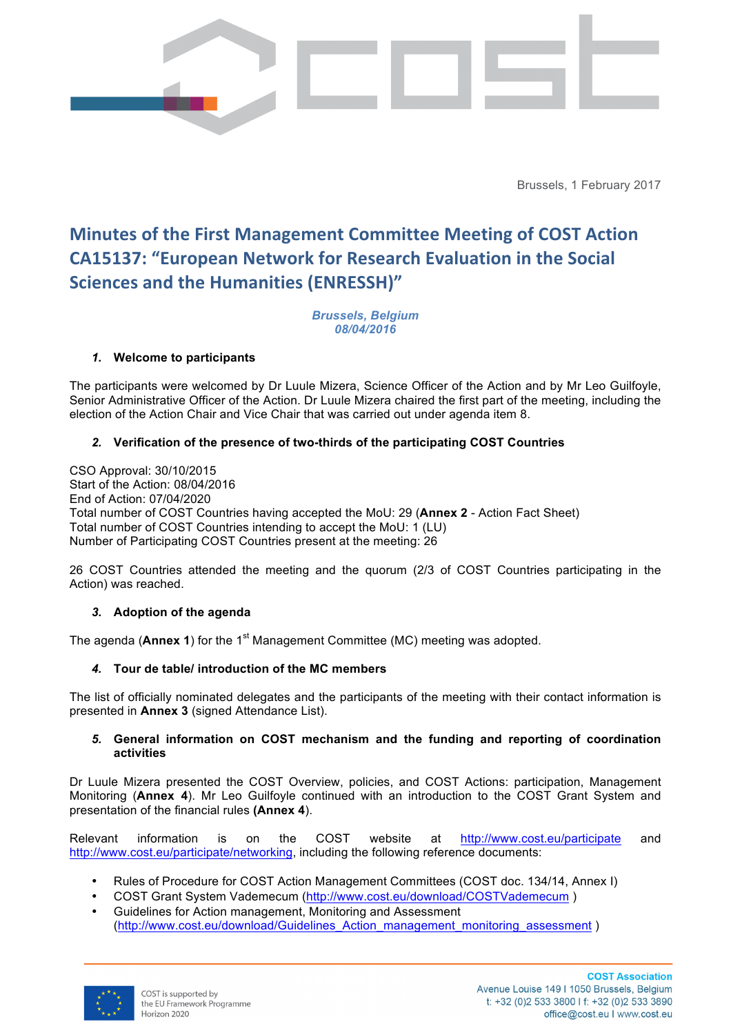

Brussels, 1 February 2017

# **Minutes of the First Management Committee Meeting of COST Action CA15137: "European Network for Research Evaluation in the Social Sciences and the Humanities (ENRESSH)"**

*Brussels, Belgium 08/04/2016*

## *1.* **Welcome to participants**

The participants were welcomed by Dr Luule Mizera, Science Officer of the Action and by Mr Leo Guilfoyle, Senior Administrative Officer of the Action. Dr Luule Mizera chaired the first part of the meeting, including the election of the Action Chair and Vice Chair that was carried out under agenda item 8.

## *2.* **Verification of the presence of two-thirds of the participating COST Countries**

CSO Approval: 30/10/2015 Start of the Action: 08/04/2016 End of Action: 07/04/2020 Total number of COST Countries having accepted the MoU: 29 (**Annex 2** - Action Fact Sheet) Total number of COST Countries intending to accept the MoU: 1 (LU) Number of Participating COST Countries present at the meeting: 26

26 COST Countries attended the meeting and the quorum (2/3 of COST Countries participating in the Action) was reached.

### *3.* **Adoption of the agenda**

The agenda (**Annex 1**) for the 1<sup>st</sup> Management Committee (MC) meeting was adopted.

## *4.* **Tour de table/ introduction of the MC members**

The list of officially nominated delegates and the participants of the meeting with their contact information is presented in **Annex 3** (signed Attendance List).

#### *5.* **General information on COST mechanism and the funding and reporting of coordination activities**

Dr Luule Mizera presented the COST Overview, policies, and COST Actions: participation, Management Monitoring (**Annex 4**). Mr Leo Guilfoyle continued with an introduction to the COST Grant System and presentation of the financial rules **(Annex 4**).

Relevant information is on the COST website at http://www.cost.eu/participate and http://www.cost.eu/participate/networking, including the following reference documents:

- Rules of Procedure for COST Action Management Committees (COST doc. 134/14, Annex I)
- COST Grant System Vademecum (http://www.cost.eu/download/COSTVademecum )
- Guidelines for Action management, Monitoring and Assessment (http://www.cost.eu/download/Guidelines\_Action\_management\_monitoring\_assessment )

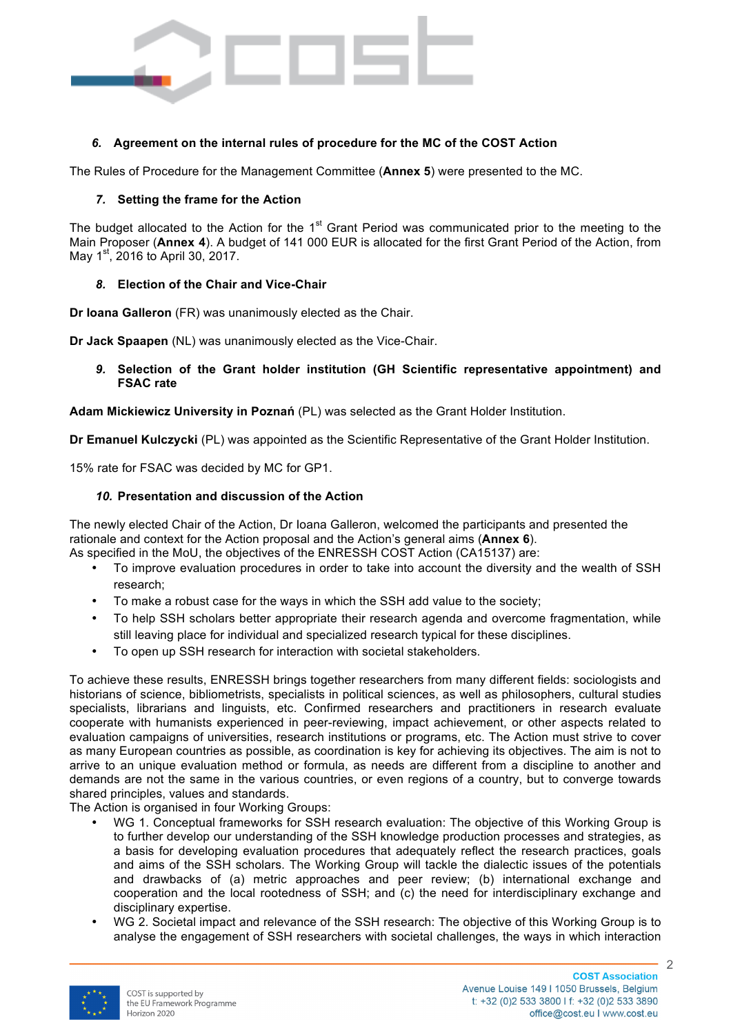

## *6.* **Agreement on the internal rules of procedure for the MC of the COST Action**

The Rules of Procedure for the Management Committee (**Annex 5**) were presented to the MC.

### *7.* **Setting the frame for the Action**

The budget allocated to the Action for the 1<sup>st</sup> Grant Period was communicated prior to the meeting to the Main Proposer (**Annex 4**). A budget of 141 000 EUR is allocated for the first Grant Period of the Action, from May 1<sup>st</sup>, 2016 to April 30, 2017.

## *8.* **Election of the Chair and Vice-Chair**

**Dr Ioana Galleron** (FR) was unanimously elected as the Chair.

**Dr Jack Spaapen** (NL) was unanimously elected as the Vice-Chair.

*9.* **Selection of the Grant holder institution (GH Scientific representative appointment) and FSAC rate**

**Adam Mickiewicz University in Poznań** (PL) was selected as the Grant Holder Institution.

**Dr Emanuel Kulczycki** (PL) was appointed as the Scientific Representative of the Grant Holder Institution.

15% rate for FSAC was decided by MC for GP1.

## *10.* **Presentation and discussion of the Action**

The newly elected Chair of the Action, Dr Ioana Galleron, welcomed the participants and presented the rationale and context for the Action proposal and the Action's general aims (**Annex 6**).

- As specified in the MoU, the objectives of the ENRESSH COST Action (CA15137) are: • To improve evaluation procedures in order to take into account the diversity and the wealth of SSH
	- research;
	- To make a robust case for the ways in which the SSH add value to the society;
	- To help SSH scholars better appropriate their research agenda and overcome fragmentation, while still leaving place for individual and specialized research typical for these disciplines.
	- To open up SSH research for interaction with societal stakeholders.

To achieve these results, ENRESSH brings together researchers from many different fields: sociologists and historians of science, bibliometrists, specialists in political sciences, as well as philosophers, cultural studies specialists, librarians and linguists, etc. Confirmed researchers and practitioners in research evaluate cooperate with humanists experienced in peer-reviewing, impact achievement, or other aspects related to evaluation campaigns of universities, research institutions or programs, etc. The Action must strive to cover as many European countries as possible, as coordination is key for achieving its objectives. The aim is not to arrive to an unique evaluation method or formula, as needs are different from a discipline to another and demands are not the same in the various countries, or even regions of a country, but to converge towards shared principles, values and standards.

The Action is organised in four Working Groups:

- WG 1. Conceptual frameworks for SSH research evaluation: The objective of this Working Group is to further develop our understanding of the SSH knowledge production processes and strategies, as a basis for developing evaluation procedures that adequately reflect the research practices, goals and aims of the SSH scholars. The Working Group will tackle the dialectic issues of the potentials and drawbacks of (a) metric approaches and peer review; (b) international exchange and cooperation and the local rootedness of SSH; and (c) the need for interdisciplinary exchange and disciplinary expertise.
- WG 2. Societal impact and relevance of the SSH research: The objective of this Working Group is to analyse the engagement of SSH researchers with societal challenges, the ways in which interaction

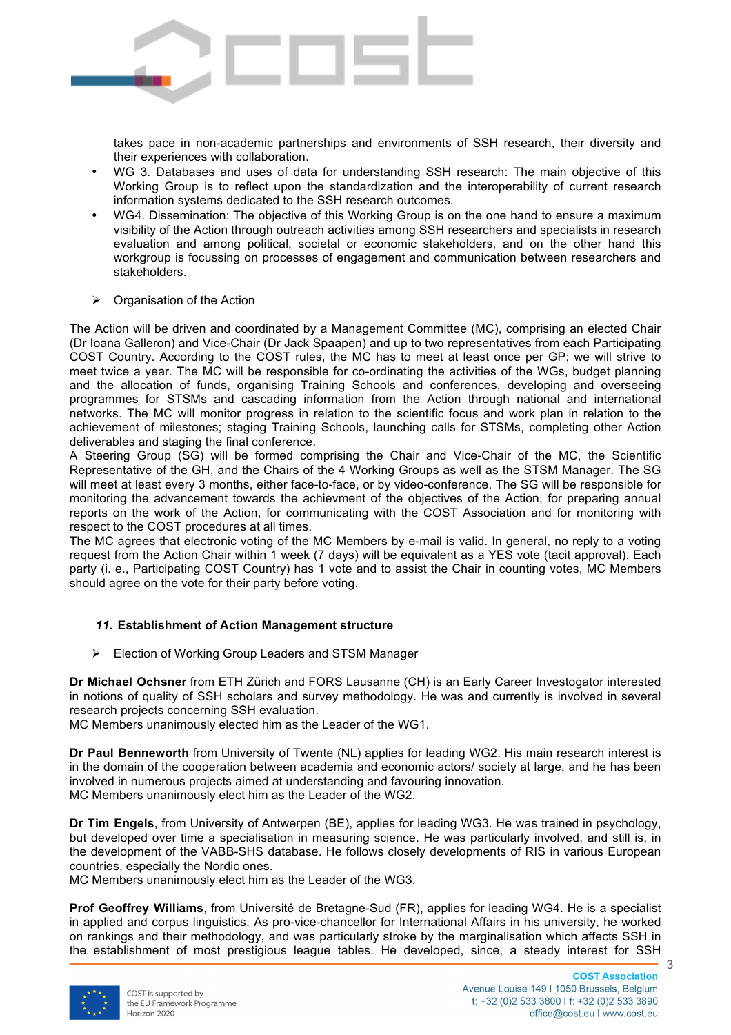

takes pace in non-academic partnerships and environments of SSH research, their diversity and their experiences with collaboration.

- WG 3. Databases and uses of data for understanding SSH research: The main objective of this Working Group is to reflect upon the standardization and the interoperability of current research information systems dedicated to the SSH research outcomes.
- WG4. Dissemination: The objective of this Working Group is on the one hand to ensure a maximum visibility of the Action through outreach activities among SSH researchers and specialists in research evaluation and among political, societal or economic stakeholders, and on the other hand this workgroup is focussing on processes of engagement and communication between researchers and stakeholders.
- Ø Organisation of the Action

The Action will be driven and coordinated by a Management Committee (MC), comprising an elected Chair (Dr Ioana Galleron) and Vice-Chair (Dr Jack Spaapen) and up to two representatives from each Participating COST Country. According to the COST rules, the MC has to meet at least once per GP; we will strive to meet twice a year. The MC will be responsible for co-ordinating the activities of the WGs, budget planning and the allocation of funds, organising Training Schools and conferences, developing and overseeing programmes for STSMs and cascading information from the Action through national and international networks. The MC will monitor progress in relation to the scientific focus and work plan in relation to the achievement of milestones; staging Training Schools, launching calls for STSMs, completing other Action deliverables and staging the final conference.

A Steering Group (SG) will be formed comprising the Chair and Vice-Chair of the MC, the Scientific Representative of the GH, and the Chairs of the 4 Working Groups as well as the STSM Manager. The SG will meet at least every 3 months, either face-to-face, or by video-conference. The SG will be responsible for monitoring the advancement towards the achievment of the objectives of the Action, for preparing annual reports on the work of the Action, for communicating with the COST Association and for monitoring with respect to the COST procedures at all times.

The MC agrees that electronic voting of the MC Members by e-mail is valid. In general, no reply to a voting request from the Action Chair within 1 week (7 days) will be equivalent as a YES vote (tacit approval). Each party (i. e., Participating COST Country) has 1 vote and to assist the Chair in counting votes, MC Members should agree on the vote for their party before voting.

### *11.* **Establishment of Action Management structure**

Ø Election of Working Group Leaders and STSM Manager

**Dr Michael Ochsner** from ETH Zürich and FORS Lausanne (CH) is an Early Career Investogator interested in notions of quality of SSH scholars and survey methodology. He was and currently is involved in several research projects concerning SSH evaluation.

MC Members unanimously elected him as the Leader of the WG1.

**Dr Paul Benneworth** from University of Twente (NL) applies for leading WG2. His main research interest is in the domain of the cooperation between academia and economic actors/ society at large, and he has been involved in numerous projects aimed at understanding and favouring innovation. MC Members unanimously elect him as the Leader of the WG2.

**Dr Tim Engels**, from University of Antwerpen (BE), applies for leading WG3. He was trained in psychology, but developed over time a specialisation in measuring science. He was particularly involved, and still is, in the development of the VABB-SHS database. He follows closely developments of RIS in various European countries, especially the Nordic ones.

MC Members unanimously elect him as the Leader of the WG3.

**Prof Geoffrey Williams**, from Université de Bretagne-Sud (FR), applies for leading WG4. He is a specialist in applied and corpus linguistics. As pro-vice-chancellor for International Affairs in his university, he worked on rankings and their methodology, and was particularly stroke by the marginalisation which affects SSH in the establishment of most prestigious league tables. He developed, since, a steady interest for SSH

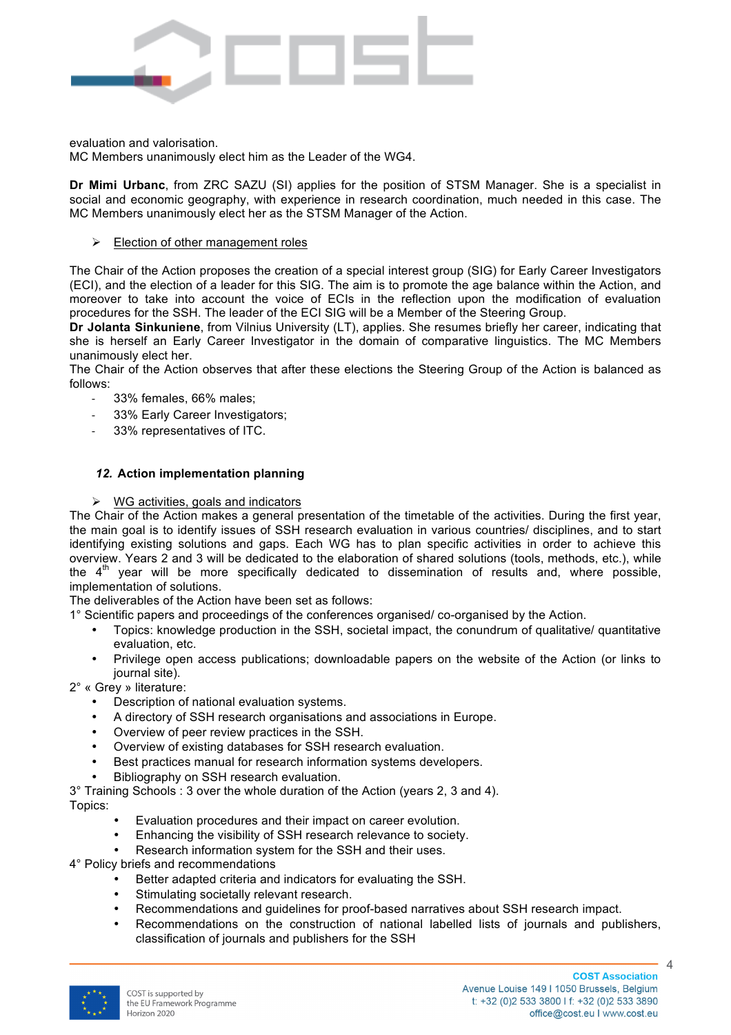

evaluation and valorisation.

MC Members unanimously elect him as the Leader of the WG4.

**Dr Mimi Urbanc**, from ZRC SAZU (SI) applies for the position of STSM Manager. She is a specialist in social and economic geography, with experience in research coordination, much needed in this case. The MC Members unanimously elect her as the STSM Manager of the Action.

### $\triangleright$  Election of other management roles

The Chair of the Action proposes the creation of a special interest group (SIG) for Early Career Investigators (ECI), and the election of a leader for this SIG. The aim is to promote the age balance within the Action, and moreover to take into account the voice of ECIs in the reflection upon the modification of evaluation procedures for the SSH. The leader of the ECI SIG will be a Member of the Steering Group.

**Dr Jolanta Sinkuniene**, from Vilnius University (LT), applies. She resumes briefly her career, indicating that she is herself an Early Career Investigator in the domain of comparative linguistics. The MC Members unanimously elect her.

The Chair of the Action observes that after these elections the Steering Group of the Action is balanced as follows:

- 33% females, 66% males;
- 33% Early Career Investigators;
- 33% representatives of ITC.

#### *12.* **Action implementation planning**

#### $\triangleright$  WG activities, goals and indicators

The Chair of the Action makes a general presentation of the timetable of the activities. During the first year, the main goal is to identify issues of SSH research evaluation in various countries/ disciplines, and to start identifying existing solutions and gaps. Each WG has to plan specific activities in order to achieve this overview. Years 2 and 3 will be dedicated to the elaboration of shared solutions (tools, methods, etc.), while the  $4<sup>th</sup>$  year will be more specifically dedicated to dissemination of results and, where possible, implementation of solutions.

The deliverables of the Action have been set as follows:

1° Scientific papers and proceedings of the conferences organised/ co-organised by the Action.

- Topics: knowledge production in the SSH, societal impact, the conundrum of qualitative/ quantitative evaluation, etc.
- Privilege open access publications; downloadable papers on the website of the Action (or links to journal site).

2° « Grey » literature:

- Description of national evaluation systems.
- A directory of SSH research organisations and associations in Europe.
- Overview of peer review practices in the SSH.
- Overview of existing databases for SSH research evaluation.
- Best practices manual for research information systems developers.
- Bibliography on SSH research evaluation.

3° Training Schools : 3 over the whole duration of the Action (years 2, 3 and 4). Topics:

Evaluation procedures and their impact on career evolution.

• Enhancing the visibility of SSH research relevance to society.

- Research information system for the SSH and their uses.
- 4° Policy briefs and recommendations
	- Better adapted criteria and indicators for evaluating the SSH.
	- Stimulating societally relevant research.
	- Recommendations and guidelines for proof-based narratives about SSH research impact.
	- Recommendations on the construction of national labelled lists of journals and publishers, classification of journals and publishers for the SSH

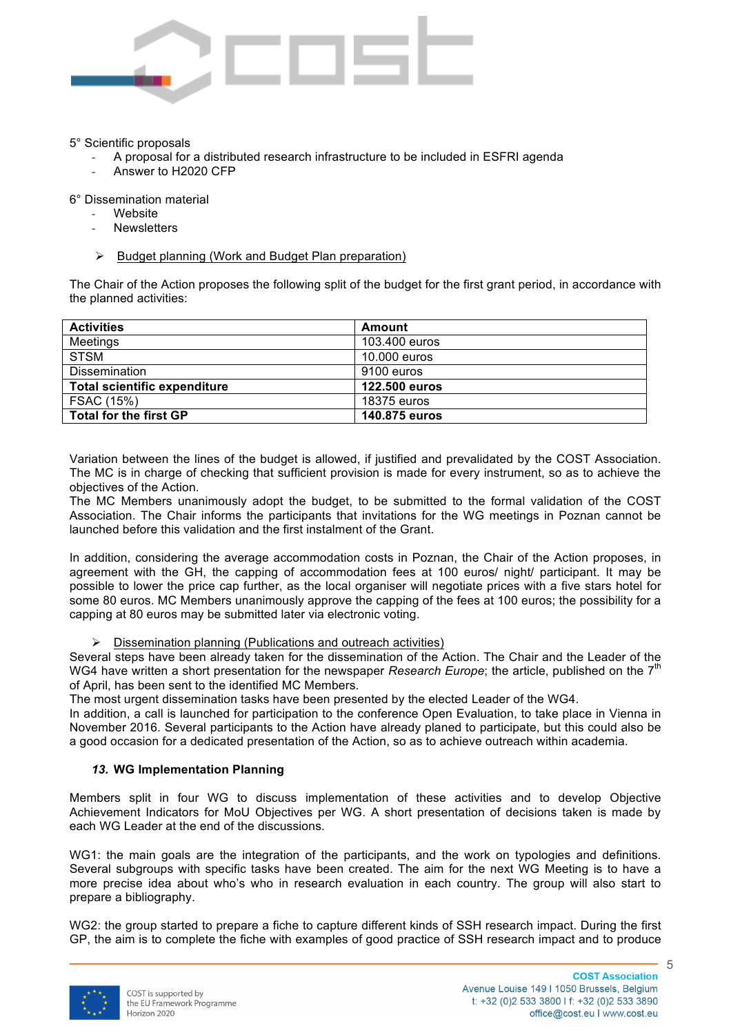

#### 5° Scientific proposals

- A proposal for a distributed research infrastructure to be included in ESFRI agenda
- Answer to H2020 CFP

6° Dissemination material

- **Website**
- **Newsletters**
- Ø Budget planning (Work and Budget Plan preparation)

The Chair of the Action proposes the following split of the budget for the first grant period, in accordance with the planned activities:

| <b>Activities</b>             | Amount        |
|-------------------------------|---------------|
| Meetings                      | 103.400 euros |
| STSM                          | 10.000 euros  |
| <b>Dissemination</b>          | 9100 euros    |
| Total scientific expenditure  | 122.500 euros |
| FSAC (15%)                    | 18375 euros   |
| <b>Total for the first GP</b> | 140.875 euros |

Variation between the lines of the budget is allowed, if justified and prevalidated by the COST Association. The MC is in charge of checking that sufficient provision is made for every instrument, so as to achieve the objectives of the Action.

The MC Members unanimously adopt the budget, to be submitted to the formal validation of the COST Association. The Chair informs the participants that invitations for the WG meetings in Poznan cannot be launched before this validation and the first instalment of the Grant.

In addition, considering the average accommodation costs in Poznan, the Chair of the Action proposes, in agreement with the GH, the capping of accommodation fees at 100 euros/ night/ participant. It may be possible to lower the price cap further, as the local organiser will negotiate prices with a five stars hotel for some 80 euros. MC Members unanimously approve the capping of the fees at 100 euros; the possibility for a capping at 80 euros may be submitted later via electronic voting.

#### $\triangleright$  Dissemination planning (Publications and outreach activities)

Several steps have been already taken for the dissemination of the Action. The Chair and the Leader of the WG4 have written a short presentation for the newspaper *Research Europe*; the article, published on the 7<sup>th</sup> of April, has been sent to the identified MC Members.

The most urgent dissemination tasks have been presented by the elected Leader of the WG4.

In addition, a call is launched for participation to the conference Open Evaluation, to take place in Vienna in November 2016. Several participants to the Action have already planed to participate, but this could also be a good occasion for a dedicated presentation of the Action, so as to achieve outreach within academia.

### *13.* **WG Implementation Planning**

Members split in four WG to discuss implementation of these activities and to develop Objective Achievement Indicators for MoU Objectives per WG. A short presentation of decisions taken is made by each WG Leader at the end of the discussions.

WG1: the main goals are the integration of the participants, and the work on typologies and definitions. Several subgroups with specific tasks have been created. The aim for the next WG Meeting is to have a more precise idea about who's who in research evaluation in each country. The group will also start to prepare a bibliography.

WG2: the group started to prepare a fiche to capture different kinds of SSH research impact. During the first GP, the aim is to complete the fiche with examples of good practice of SSH research impact and to produce

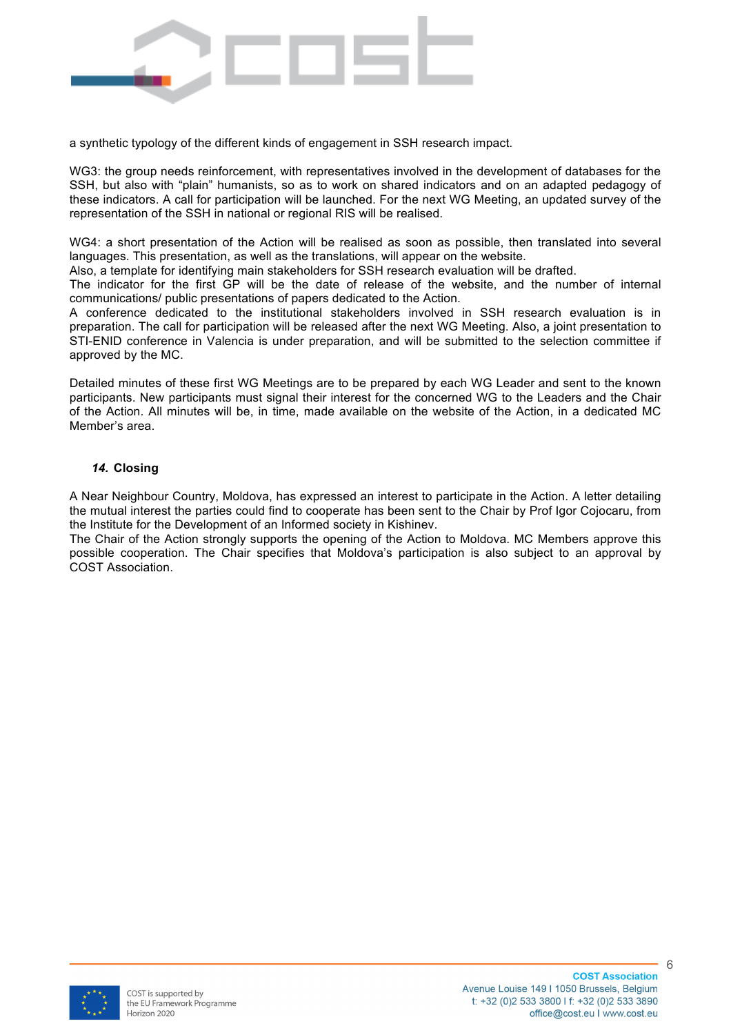

a synthetic typology of the different kinds of engagement in SSH research impact.

WG3: the group needs reinforcement, with representatives involved in the development of databases for the SSH, but also with "plain" humanists, so as to work on shared indicators and on an adapted pedagogy of these indicators. A call for participation will be launched. For the next WG Meeting, an updated survey of the representation of the SSH in national or regional RIS will be realised.

WG4: a short presentation of the Action will be realised as soon as possible, then translated into several languages. This presentation, as well as the translations, will appear on the website.

Also, a template for identifying main stakeholders for SSH research evaluation will be drafted.

The indicator for the first GP will be the date of release of the website, and the number of internal communications/ public presentations of papers dedicated to the Action.

A conference dedicated to the institutional stakeholders involved in SSH research evaluation is in preparation. The call for participation will be released after the next WG Meeting. Also, a joint presentation to STI-ENID conference in Valencia is under preparation, and will be submitted to the selection committee if approved by the MC.

Detailed minutes of these first WG Meetings are to be prepared by each WG Leader and sent to the known participants. New participants must signal their interest for the concerned WG to the Leaders and the Chair of the Action. All minutes will be, in time, made available on the website of the Action, in a dedicated MC Member's area.

### *14.* **Closing**

A Near Neighbour Country, Moldova, has expressed an interest to participate in the Action. A letter detailing the mutual interest the parties could find to cooperate has been sent to the Chair by Prof Igor Cojocaru, from the Institute for the Development of an Informed society in Kishinev.

The Chair of the Action strongly supports the opening of the Action to Moldova. MC Members approve this possible cooperation. The Chair specifies that Moldova's participation is also subject to an approval by COST Association.